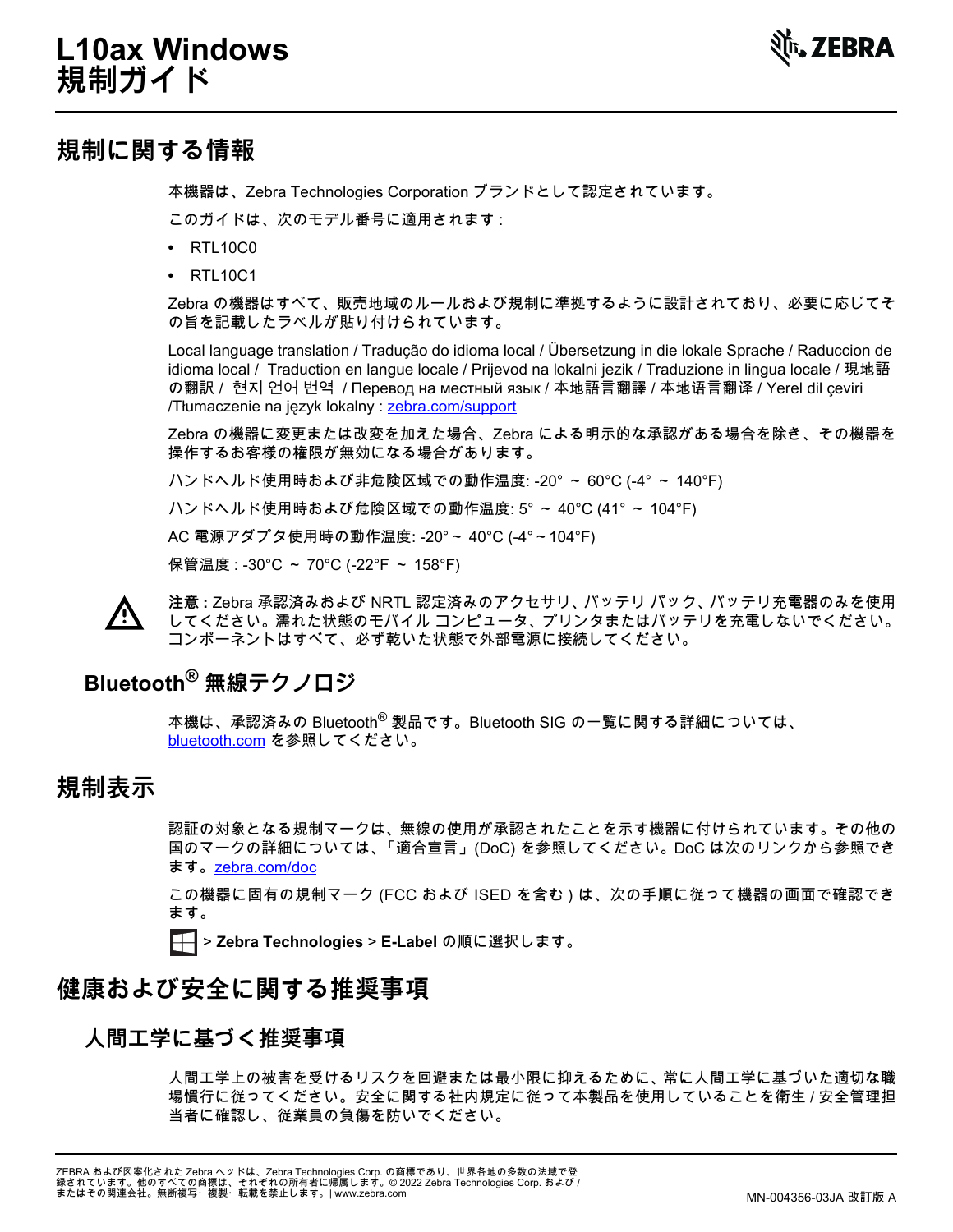

# **規制に関する情報**

本機器は、Zebra Technologies Corporation ブランドとして認定されています。

このガイドは、次のモデル番号に適用されます :

- **•** RTL10C0
- **•** RTL10C1

Zebra の機器はすべて、販売地域のルールおよび規制に準拠するように設計されており、必要に応じてそ の旨を記載したラベルが貼り付けられています。

Local language translation / Tradução do idioma local / Übersetzung in die lokale Sprache / Raduccion de idioma local / Traduction en langue locale / Prijevod na lokalni jezik / Traduzione in lingua locale / 現地語 の翻訳 / 현지 언어 번역 / Перевод на местный язык / 本地語言翻譯 / 本地语言翻译 / Yerel dil çeviri /Tłumaczenie na język lokalny : [zebra.com/support](http://www.zebra.com/support)

Zebra の機器に変更または改変を加えた場合、Zebra による明示的な承認がある場合を除き、その機器を 操作するお客様の権限が無効になる場合があります。

ハンドヘルド使用時および非危険区域での動作温度: -20° ~ 60°C (-4° ~ 140°F)

ハンドヘルド使用時および危険区域での動作温度: 5° ~ 40°C (41° ~ 104°F)

AC 電源アダプタ使用時の動作温度: -20°~ 40°C (-4°~104°F)

保管温度 : -30°C ~ 70°C (-22°F ~ 158°F)



**注意 :** Zebra 承認済みおよび NRTL 認定済みのアクセサリ、バッテリ パック、バッテリ充電器のみを使用 してください。濡れた状態のモバイル コンピュータ、プリンタまたはバッテリを充電しないでください。 コンポーネントはすべて、必ず乾いた状態で外部電源に接続してください。

# **Bluetooth® 無線テクノロジ**

本機は、承認済みの Bluetooth® 製品です。Bluetooth SIG の一覧に関する詳細については、 [bluetooth.com](http://www.bluetooth.com) を参照してください。

# **規制表示**

認証の対象となる規制マークは、無線の使用が承認されたことを示す機器に付けられています。その他の 国のマークの詳細については、「適合宣言」 (DoC) を参照してください。DoC は次のリンクから参照でき ます。[zebra.com/doc](http://www.zebra.com/doc)

この機器に固有の規制マーク (FCC および ISED を含む ) は、次の手順に従って機器の画面で確認でき ます。

> **Zebra Technologies** > **E-Label** の順に選択します。

# **健康および安全に関する推奨事項**

### **人間工学に基づく推奨事項**

人間工学上の被害を受けるリスクを回避または最小限に抑えるために、常に人間工学に基づいた適切な職 場慣行に従ってください。安全に関する社内規定に従って本製品を使用していることを衛生 / 安全管理担 当者に確認し、従業員の負傷を防いでください。

ZEBRA および図案化された Zebra ヘッドは、Zebra Technologies Corp. の商標であり、世界各地の多数の法域で登<br>録されています。他のすべての商標は、それぞれの所有者に帰属します。© 2022 Zebra Technologies Corp. および /<br>またはその関連会社。無断複写・複製・転載を禁止します。| www.zebra.com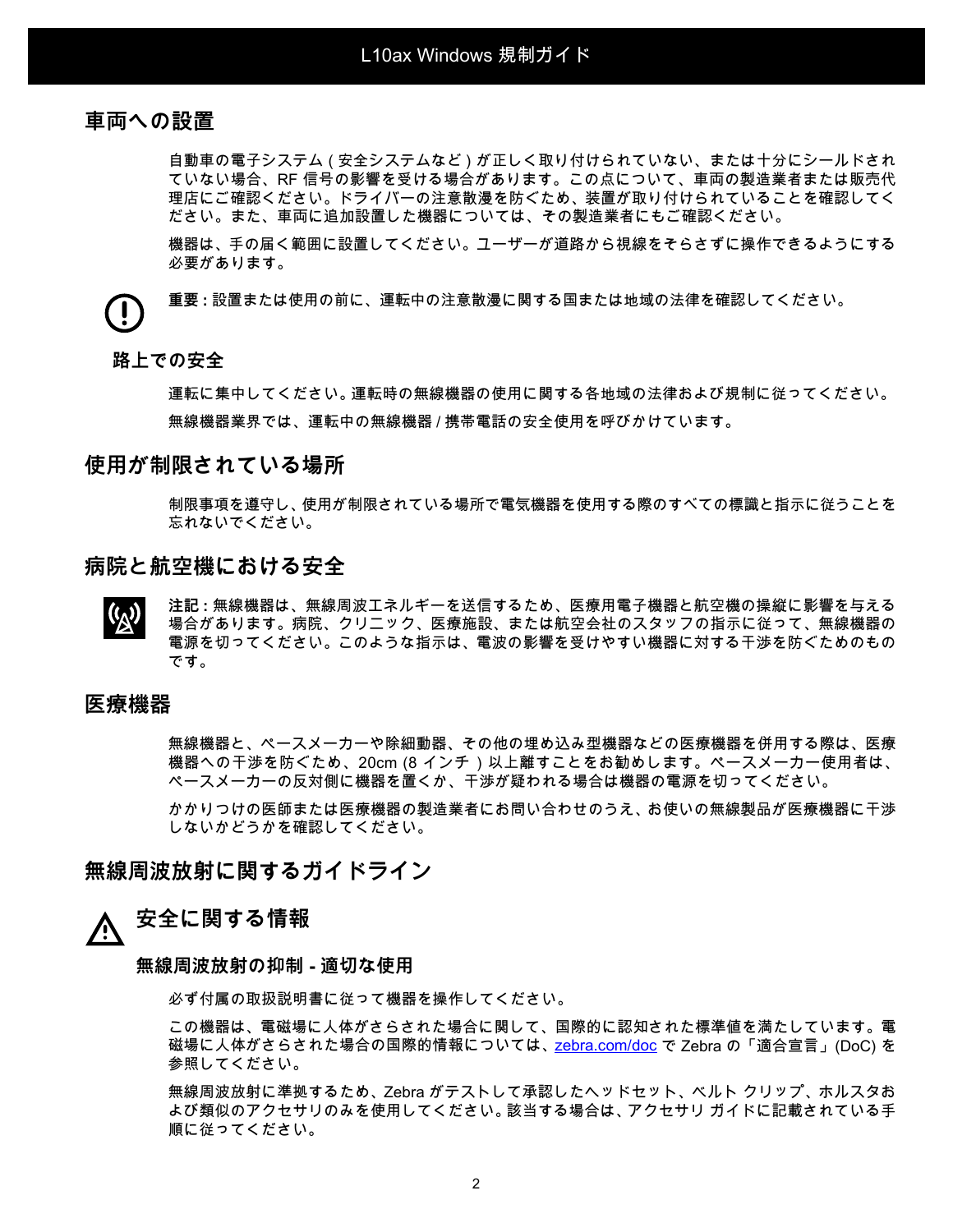### **車両への設置**

自動車の電子システム ( 安全システムなど ) が正しく取り付けられていない、または十分にシールドされ ていない場合、RF 信号の影響を受ける場合があります。この点について、車両の製造業者または販売代 理店にご確認ください。ドライバーの注意散漫を防ぐため、装置が取り付けられていることを確認してく ださい。また、車両に追加設置した機器については、その製造業者にもご確認ください。

機器は、手の届く範囲に設置してください。ユーザーが道路から視線をそらさずに操作できるようにする 必要があります。

**重要 :** 設置または使用の前に、運転中の注意散漫に関する国または地域の法律を確認してください。

#### **路上での安全**

運転に集中してください。運転時の無線機器の使用に関する各地域の法律および規制に従ってください。 無線機器業界では、運転中の無線機器 / 携帯電話の安全使用を呼びかけています。

### **使用が制限されている場所**

制限事項を遵守し、使用が制限されている場所で電気機器を使用する際のすべての標識と指示に従うことを 忘れないでください。

### **病院と航空機における安全**

**注記 :** 無線機器は、無線周波エネルギーを送信するため、医療用電子機器と航空機の操縦に影響を与える  $\mathbf{Q}^{(k)}$ 場合があります。病院、クリニック、医療施設、または航空会社のスタッフの指示に従って、無線機器の 電源を切ってください。このような指示は、電波の影響を受けやすい機器に対する干渉を防ぐためのもの です。

### **医療機器**

無線機器と、ペースメーカーや除細動器、その他の埋め込み型機器などの医療機器を併用する際は、医療 機器への干渉を防ぐため、20cm (8 インチ ) 以上離すことをお勧めします。ペースメーカー使用者は、 ペースメーカーの反対側に機器を置くか、干渉が疑われる場合は機器の電源を切ってください。

かかりつけの医師または医療機器の製造業者にお問い合わせのうえ、お使いの無線製品が医療機器に干渉 しないかどうかを確認してください。

### **無線周波放射に関するガイドライン**

# **安全に関する情報**

#### **無線周波放射の抑制 - 適切な使用**

必ず付属の取扱説明書に従って機器を操作してください。

この機器は、電磁場に人体がさらされた場合に関して、国際的に認知された標準値を満たしています。電 磁場に人体がさらされた場合の国際的情報については[、zebra.com/doc](http://www.zebra.com/doc) で Zebra の「適合宣言」 (DoC) を 参照してください。

無線周波放射に準拠するため、Zebra がテストして承認したヘッドセット、ベルト クリップ、ホルスタお よび類似のアクセサリのみを使用してください。該当する場合は、アクセサリ ガイドに記載されている手 順に従ってください。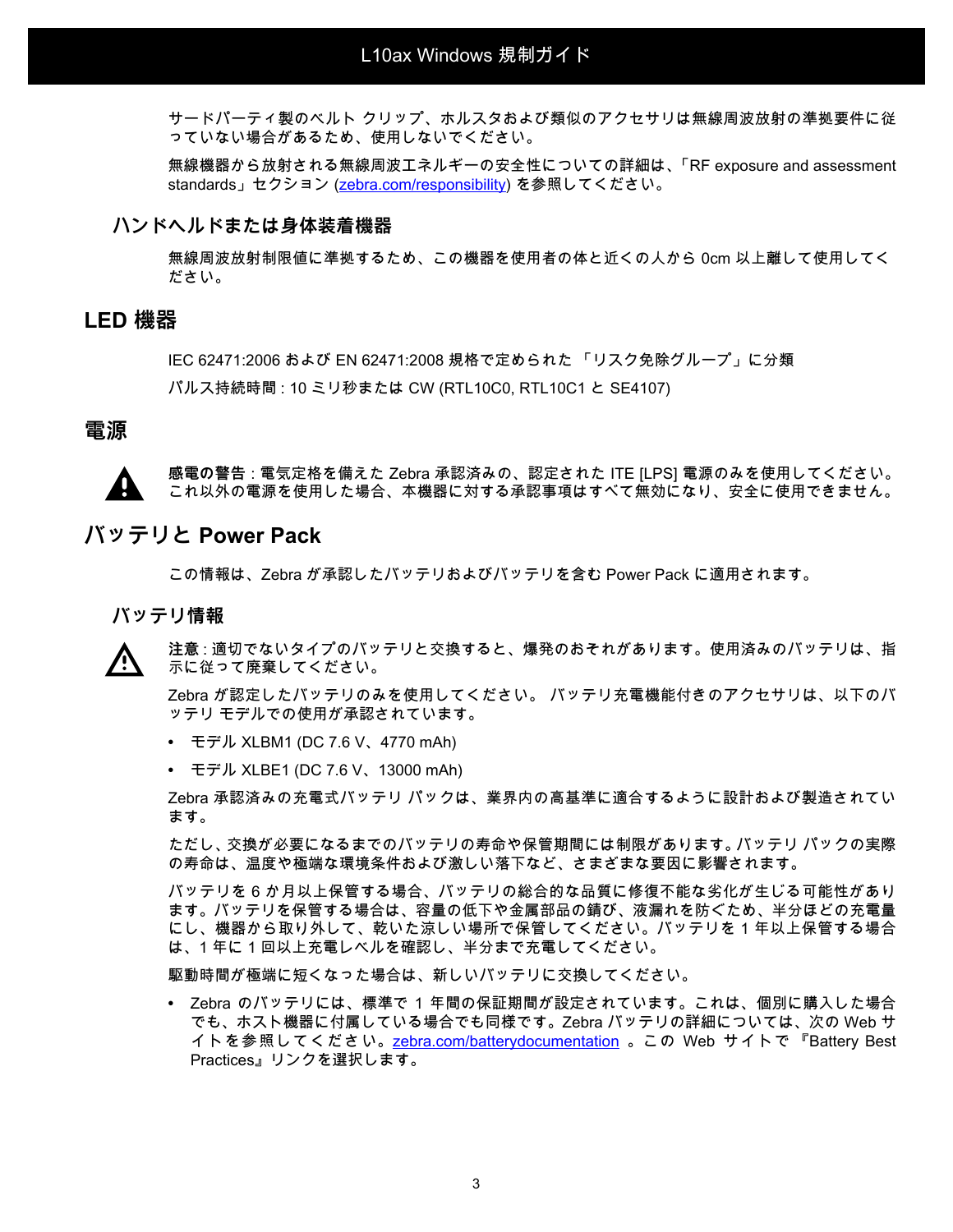サードパーティ製のベルト クリップ、ホルスタおよび類似のアクセサリは無線周波放射の準拠要件に従 っていない場合があるため、使用しないでください。

無線機器から放射される無線周波エネルギーの安全性についての詳細は、「RF exposure and assessment standards」セクション [\(zebra.com/responsibility](https://www.zebra.com/responsibility)) を参照してください。

#### **ハンドヘルドまたは身体装着機器**

無線周波放射制限値に準拠するため、この機器を使用者の体と近くの人から 0cm 以上離して使用してく ださい。

### **LED 機器**

IEC 62471:2006 および EN 62471:2008 規格で定められた 「リスク免除グループ」に分類 パルス持続時間 : 10 ミリ秒または CW (RTL10C0, RTL10C1 と SE4107)

#### **電源**

**感電の警告** : 電気定格を備えた Zebra 承認済みの、認定された ITE [LPS] 電源のみを使用してください。 これ以外の電源を使用した場合、本機器に対する承認事項はすべて無効になり、安全に使用できません。

### **バッテリと Power Pack**

この情報は、Zebra が承認したバッテリおよびバッテリを含む Power Pack に適用されます。

#### **バッテリ情報**

**注意** : 適切でないタイプのバッテリと交換すると、爆発のおそれがあります。使用済みのバッテリは、指 示に従って廃棄してください。

Zebra が認定したバッテリのみを使用してください。 バッテリ充電機能付きのアクセサリは、以下のバ ッテリ モデルでの使用が承認されています。

- **•** モデル XLBM1 (DC 7.6 V、4770 mAh)
- **•** モデル XLBE1 (DC 7.6 V、13000 mAh)

Zebra 承認済みの充電式バッテリ パックは、業界内の高基準に適合するように設計および製造されてい ます。

ただし、交換が必要になるまでのバッテリの寿命や保管期間には制限があります。バッテリ パックの実際 の寿命は、温度や極端な環境条件および激しい落下など、さまざまな要因に影響されます。

バッテリを 6 か月以上保管する場合、バッテリの総合的な品質に修復不能な劣化が生じる可能性があり ます。バッテリを保管する場合は、容量の低下や金属部品の錆び、液漏れを防ぐため、半分ほどの充電量 にし、機器から取り外して、乾いた涼しい場所で保管してください。バッテリを 1 年以上保管する場合 は、1 年に 1 回以上充電レベルを確認し、半分まで充電してください。

駆動時間が極端に短くなった場合は、新しいバッテリに交換してください。

**•** Zebra のバッテリには、標準で 1 年間の保証期間が設定されています。これは、個別に購入した場合 でも、ホスト機器に付属している場合でも同様です。Zebra バッテリの詳細については、次の Web サ イトを参照してください[。zebra.com/batterydocumentation](https://zebra.com/batterydocumentation) 。この Web サイトで 『Battery Best Practices』リンクを選択します。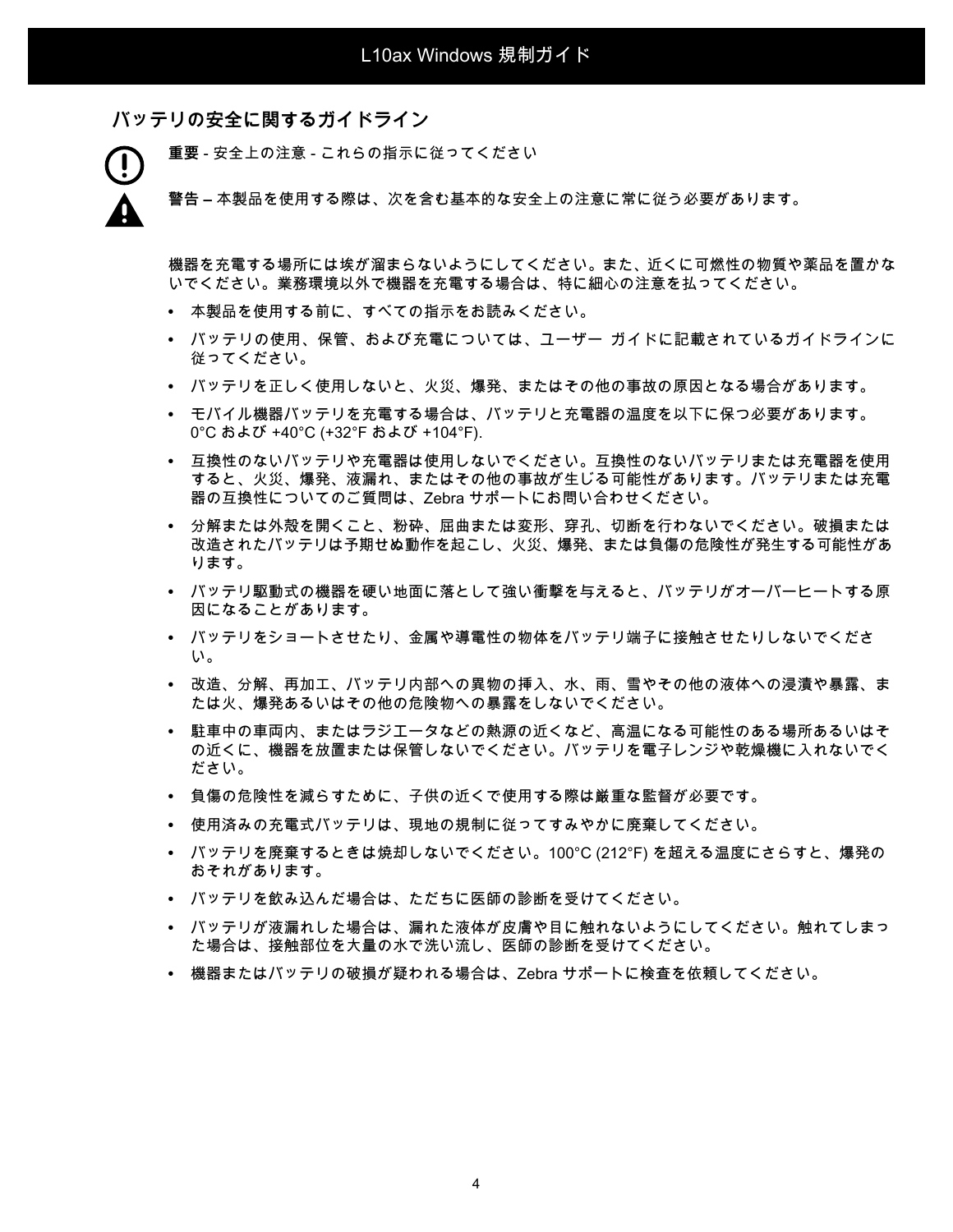**バッテリの安全に関するガイドライン**

**重要** - 安全上の注意 - これらの指示に従ってください

**警告 –** 本製品を使用する際は、次を含む基本的な安全上の注意に常に従う必要があります。

機器を充電する場所には埃が溜まらないようにしてください。また、近くに可燃性の物質や薬品を置かな いでください。業務環境以外で機器を充電する場合は、特に細心の注意を払ってください。

- **•** 本製品を使用する前に、すべての指示をお読みください。
- **•** バッテリの使用、保管、および充電については、ユーザー ガイドに記載されているガイドラインに 従ってください。
- **•** バッテリを正しく使用しないと、火災、爆発、またはその他の事故の原因となる場合があります。
- **•** モバイル機器バッテリを充電する場合は、バッテリと充電器の温度を以下に保つ必要があります。 0°C および +40°C (+32°F および +104°F).
- **•** 互換性のないバッテリや充電器は使用しないでください。互換性のないバッテリまたは充電器を使用 すると、火災、爆発、液漏れ、またはその他の事故が生じる可能性があります。バッテリまたは充電 器の互換性についてのご質問は、Zebra サポートにお問い合わせください。
- **•** 分解または外殻を開くこと、粉砕、屈曲または変形、穿孔、切断を行わないでください。破損または 改造されたバッテリは予期せぬ動作を起こし、火災、爆発、または負傷の危険性が発生する可能性があ ります。
- **•** バッテリ駆動式の機器を硬い地面に落として強い衝撃を与えると、バッテリがオーバーヒートする原 因になることがあります。
- **•** バッテリをショートさせたり、金属や導電性の物体をバッテリ端子に接触させたりしないでくださ い。
- **•** 改造、分解、再加工、バッテリ内部への異物の挿入、水、雨、雪やその他の液体への浸漬や暴露、ま たは火、爆発あるいはその他の危険物への暴露をしないでください。
- **•** 駐車中の車両内、またはラジエータなどの熱源の近くなど、高温になる可能性のある場所あるいはそ の近くに、機器を放置または保管しないでください。バッテリを電子レンジや乾燥機に入れないでく ださい。
- **•** 負傷の危険性を減らすために、子供の近くで使用する際は厳重な監督が必要です。
- **•** 使用済みの充電式バッテリは、現地の規制に従ってすみやかに廃棄してください。
- **•** バッテリを廃棄するときは焼却しないでください。100°C (212°F) を超える温度にさらすと、爆発の おそれがあります。
- **•** バッテリを飲み込んだ場合は、ただちに医師の診断を受けてください。
- **•** バッテリが液漏れした場合は、漏れた液体が皮膚や目に触れないようにしてください。触れてしまっ た場合は、接触部位を大量の水で洗い流し、医師の診断を受けてください。
- **•** 機器またはバッテリの破損が疑われる場合は、Zebra サポートに検査を依頼してください。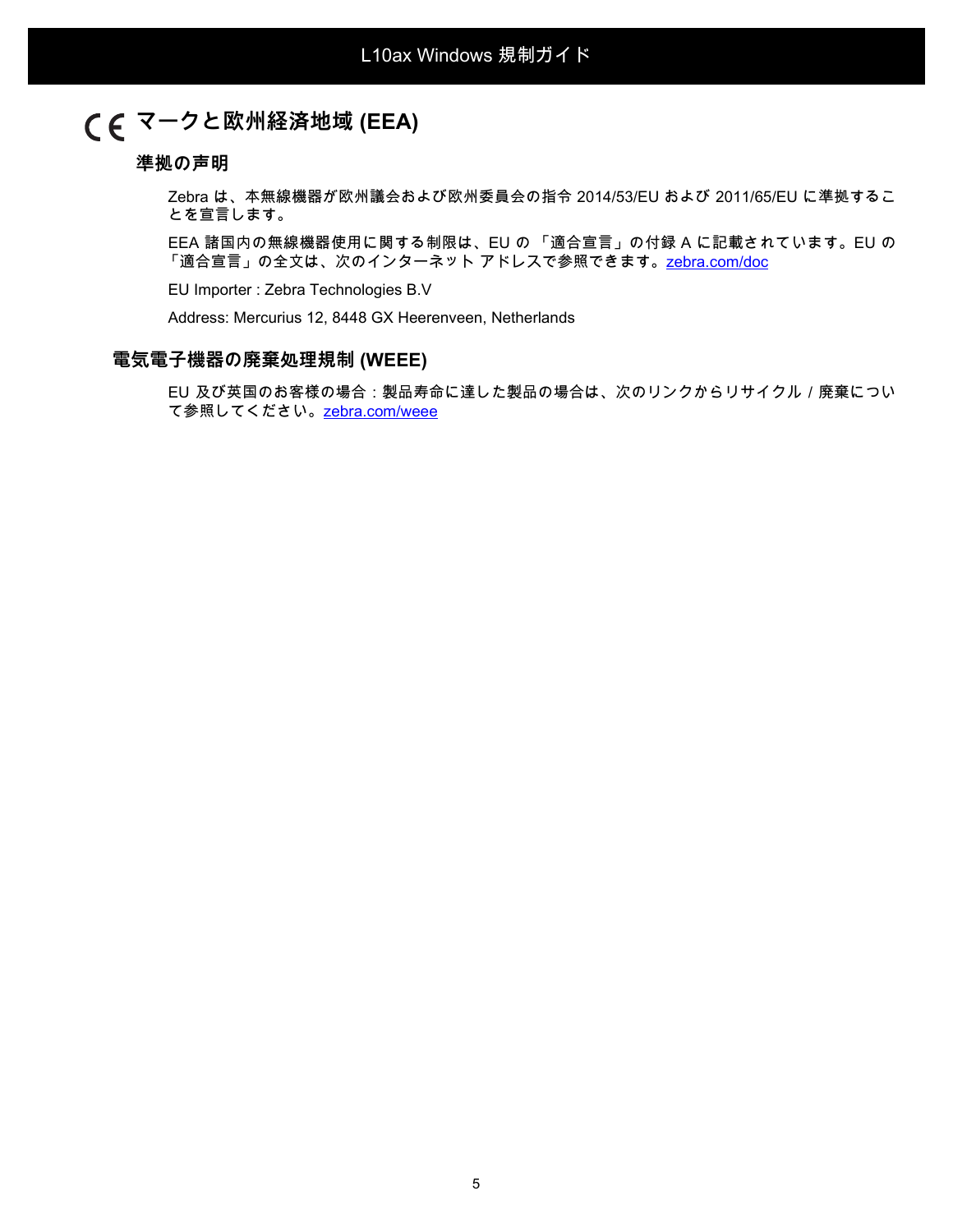# **マークと欧州経済地域 (EEA)**

#### **準拠の声明**

Zebra は、本無線機器が欧州議会および欧州委員会の指令 2014/53/EU および 2011/65/EU に準拠するこ とを宣言します。

EEA 諸国内の無線機器使用に関する制限は、EU の 「適合宣言」の付録 A に記載されています。EU の 「適合宣言」の全文は、次のインターネット アドレスで参照できます[。zebra.com/doc](http://www.zebra.com/doc)

EU Importer : Zebra Technologies B.V

Address: Mercurius 12, 8448 GX Heerenveen, Netherlands

#### **電気電子機器の廃棄処理規制 (WEEE)**

EU 及び英国のお客様の場合:製品寿命に達した製品の場合は、次のリンクからリサイクル / 廃棄につい て参照してください。[zebra.com/weee](https://www.zebra.com/weee)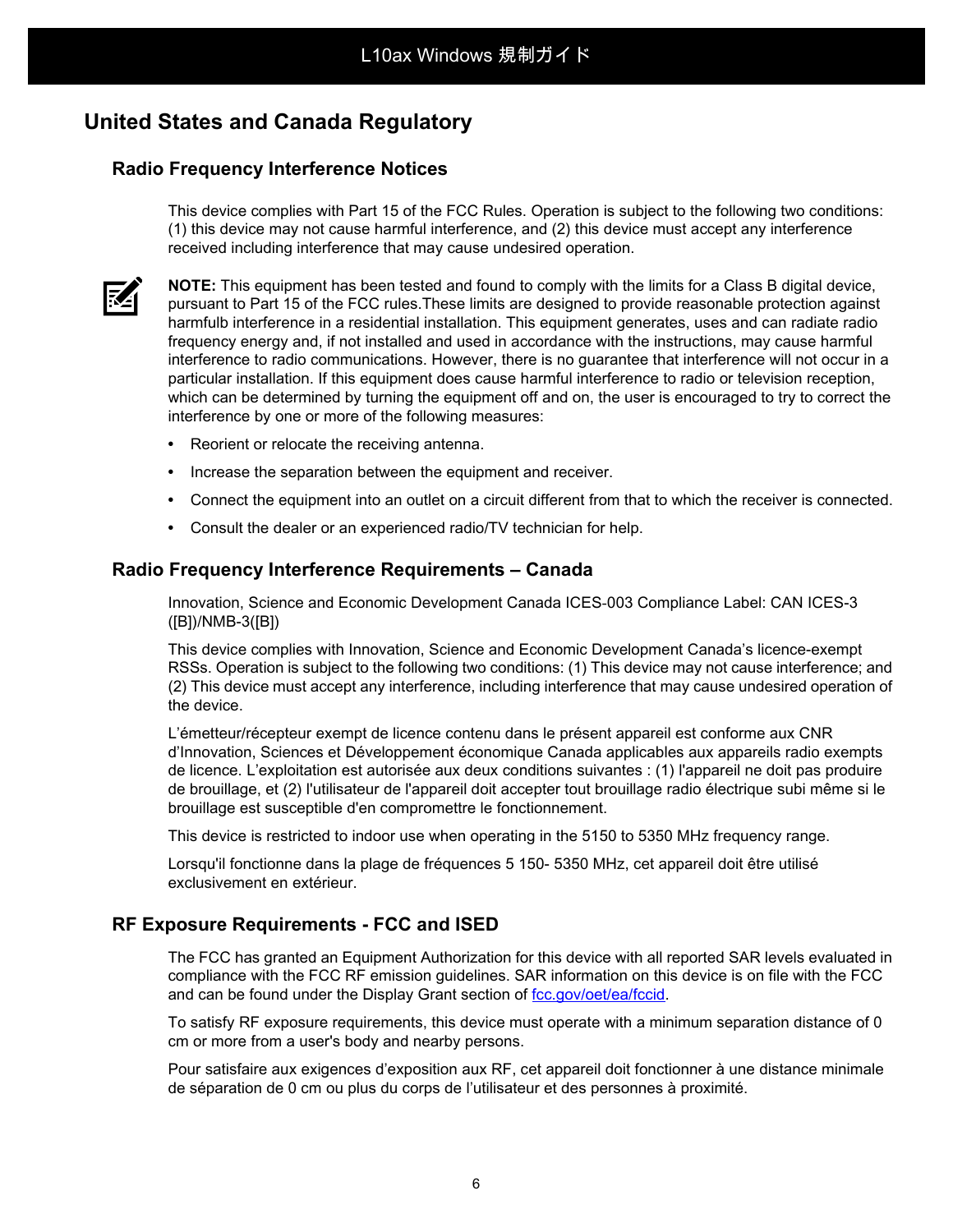# **United States and Canada Regulatory**

### **Radio Frequency Interference Notices**

This device complies with Part 15 of the FCC Rules. Operation is subject to the following two conditions: (1) this device may not cause harmful interference, and (2) this device must accept any interference received including interference that may cause undesired operation.



**NOTE:** This equipment has been tested and found to comply with the limits for a Class B digital device, pursuant to Part 15 of the FCC rules.These limits are designed to provide reasonable protection against harmfulb interference in a residential installation. This equipment generates, uses and can radiate radio frequency energy and, if not installed and used in accordance with the instructions, may cause harmful interference to radio communications. However, there is no guarantee that interference will not occur in a particular installation. If this equipment does cause harmful interference to radio or television reception, which can be determined by turning the equipment off and on, the user is encouraged to try to correct the interference by one or more of the following measures:

- **•** Reorient or relocate the receiving antenna.
- **•** Increase the separation between the equipment and receiver.
- **•** Connect the equipment into an outlet on a circuit different from that to which the receiver is connected.
- **•** Consult the dealer or an experienced radio/TV technician for help.

### **Radio Frequency Interference Requirements – Canada**

Innovation, Science and Economic Development Canada ICES-003 Compliance Label: CAN ICES-3 ([B])/NMB-3([B])

This device complies with Innovation, Science and Economic Development Canada's licence-exempt RSSs. Operation is subject to the following two conditions: (1) This device may not cause interference; and (2) This device must accept any interference, including interference that may cause undesired operation of the device.

L'émetteur/récepteur exempt de licence contenu dans le présent appareil est conforme aux CNR d'Innovation, Sciences et Développement économique Canada applicables aux appareils radio exempts de licence. L'exploitation est autorisée aux deux conditions suivantes : (1) l'appareil ne doit pas produire de brouillage, et (2) l'utilisateur de l'appareil doit accepter tout brouillage radio électrique subi même si le brouillage est susceptible d'en compromettre le fonctionnement.

This device is restricted to indoor use when operating in the 5150 to 5350 MHz frequency range.

Lorsqu'il fonctionne dans la plage de fréquences 5 150- 5350 MHz, cet appareil doit être utilisé exclusivement en extérieur.

### **RF Exposure Requirements - FCC and ISED**

The FCC has granted an Equipment Authorization for this device with all reported SAR levels evaluated in compliance with the FCC RF emission guidelines. SAR information on this device is on file with the FCC and can be found under the Display Grant section of [fcc.gov/oet/ea/fccid](http://www.fcc.gov/oet/ea/fccid).

To satisfy RF exposure requirements, this device must operate with a minimum separation distance of 0 cm or more from a user's body and nearby persons.

Pour satisfaire aux exigences d'exposition aux RF, cet appareil doit fonctionner à une distance minimale de séparation de 0 cm ou plus du corps de l'utilisateur et des personnes à proximité.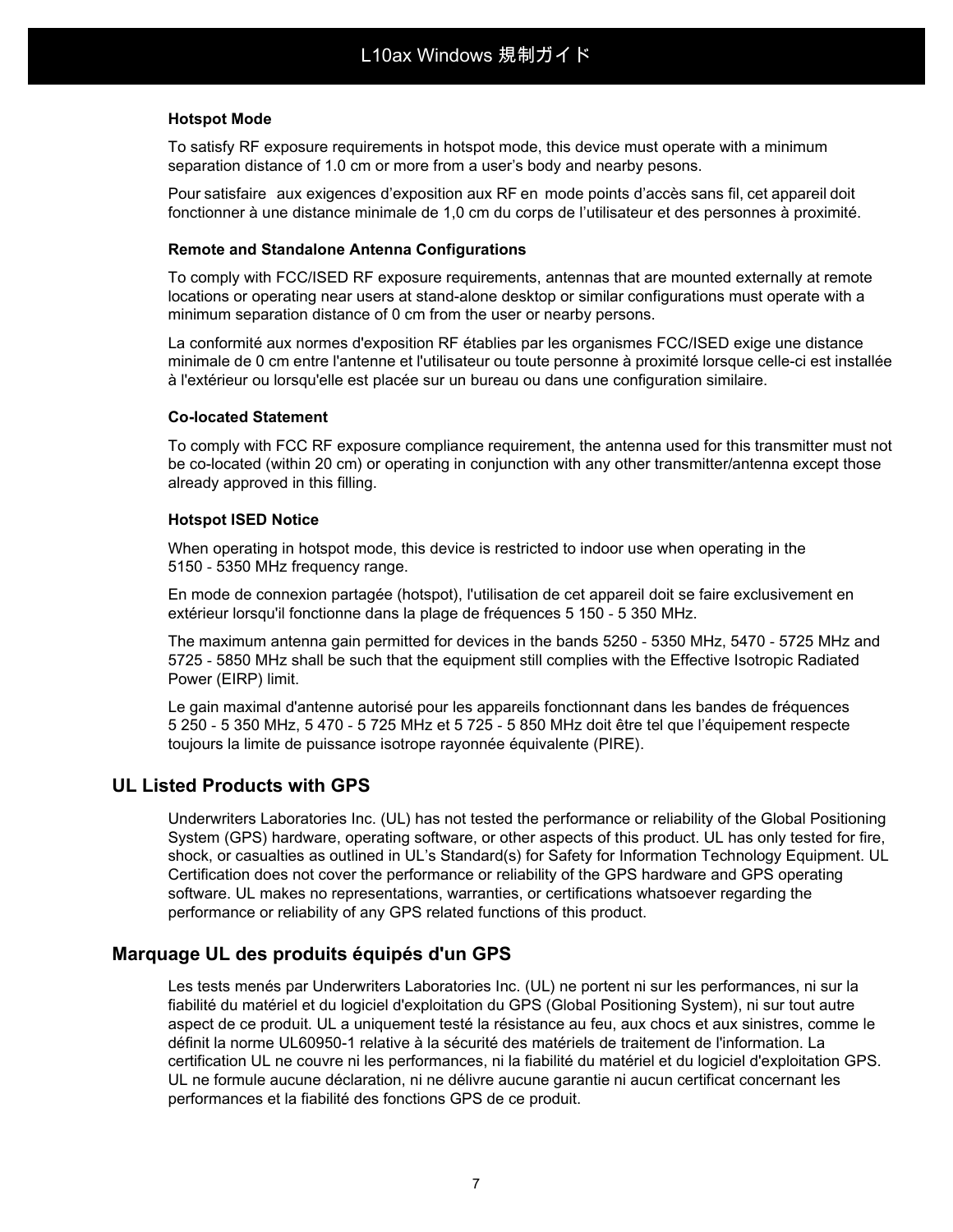#### **Hotspot Mode**

To satisfy RF exposure requirements in hotspot mode, this device must operate with a minimum separation distance of 1.0 cm or more from a user's body and nearby pesons.

Pour satisfaire aux exigences d'exposition aux RF en mode points d'accès sans fil, cet appareil doit fonctionner à une distance minimale de 1,0 cm du corps de l'utilisateur et des personnes à proximité.

#### **Remote and Standalone Antenna Configurations**

To comply with FCC/ISED RF exposure requirements, antennas that are mounted externally at remote locations or operating near users at stand-alone desktop or similar configurations must operate with a minimum separation distance of 0 cm from the user or nearby persons.

La conformité aux normes d'exposition RF établies par les organismes FCC/ISED exige une distance minimale de 0 cm entre l'antenne et l'utilisateur ou toute personne à proximité lorsque celle-ci est installée à l'extérieur ou lorsqu'elle est placée sur un bureau ou dans une configuration similaire.

#### **Co-located Statement**

To comply with FCC RF exposure compliance requirement, the antenna used for this transmitter must not be co-located (within 20 cm) or operating in conjunction with any other transmitter/antenna except those already approved in this filling.

#### **Hotspot ISED Notice**

When operating in hotspot mode, this device is restricted to indoor use when operating in the 5150 - 5350 MHz frequency range.

En mode de connexion partagée (hotspot), l'utilisation de cet appareil doit se faire exclusivement en extérieur lorsqu'il fonctionne dans la plage de fréquences 5 150 - 5 350 MHz.

The maximum antenna gain permitted for devices in the bands 5250 - 5350 MHz, 5470 - 5725 MHz and 5725 - 5850 MHz shall be such that the equipment still complies with the Effective Isotropic Radiated Power (EIRP) limit.

Le gain maximal d'antenne autorisé pour les appareils fonctionnant dans les bandes de fréquences 5 250 - 5 350 MHz, 5 470 - 5 725 MHz et 5 725 - 5 850 MHz doit être tel que l'équipement respecte toujours la limite de puissance isotrope rayonnée équivalente (PIRE).

### **UL Listed Products with GPS**

Underwriters Laboratories Inc. (UL) has not tested the performance or reliability of the Global Positioning System (GPS) hardware, operating software, or other aspects of this product. UL has only tested for fire, shock, or casualties as outlined in UL's Standard(s) for Safety for Information Technology Equipment. UL Certification does not cover the performance or reliability of the GPS hardware and GPS operating software. UL makes no representations, warranties, or certifications whatsoever regarding the performance or reliability of any GPS related functions of this product.

### **Marquage UL des produits équipés d'un GPS**

Les tests menés par Underwriters Laboratories Inc. (UL) ne portent ni sur les performances, ni sur la fiabilité du matériel et du logiciel d'exploitation du GPS (Global Positioning System), ni sur tout autre aspect de ce produit. UL a uniquement testé la résistance au feu, aux chocs et aux sinistres, comme le définit la norme UL60950-1 relative à la sécurité des matériels de traitement de l'information. La certification UL ne couvre ni les performances, ni la fiabilité du matériel et du logiciel d'exploitation GPS. UL ne formule aucune déclaration, ni ne délivre aucune garantie ni aucun certificat concernant les performances et la fiabilité des fonctions GPS de ce produit.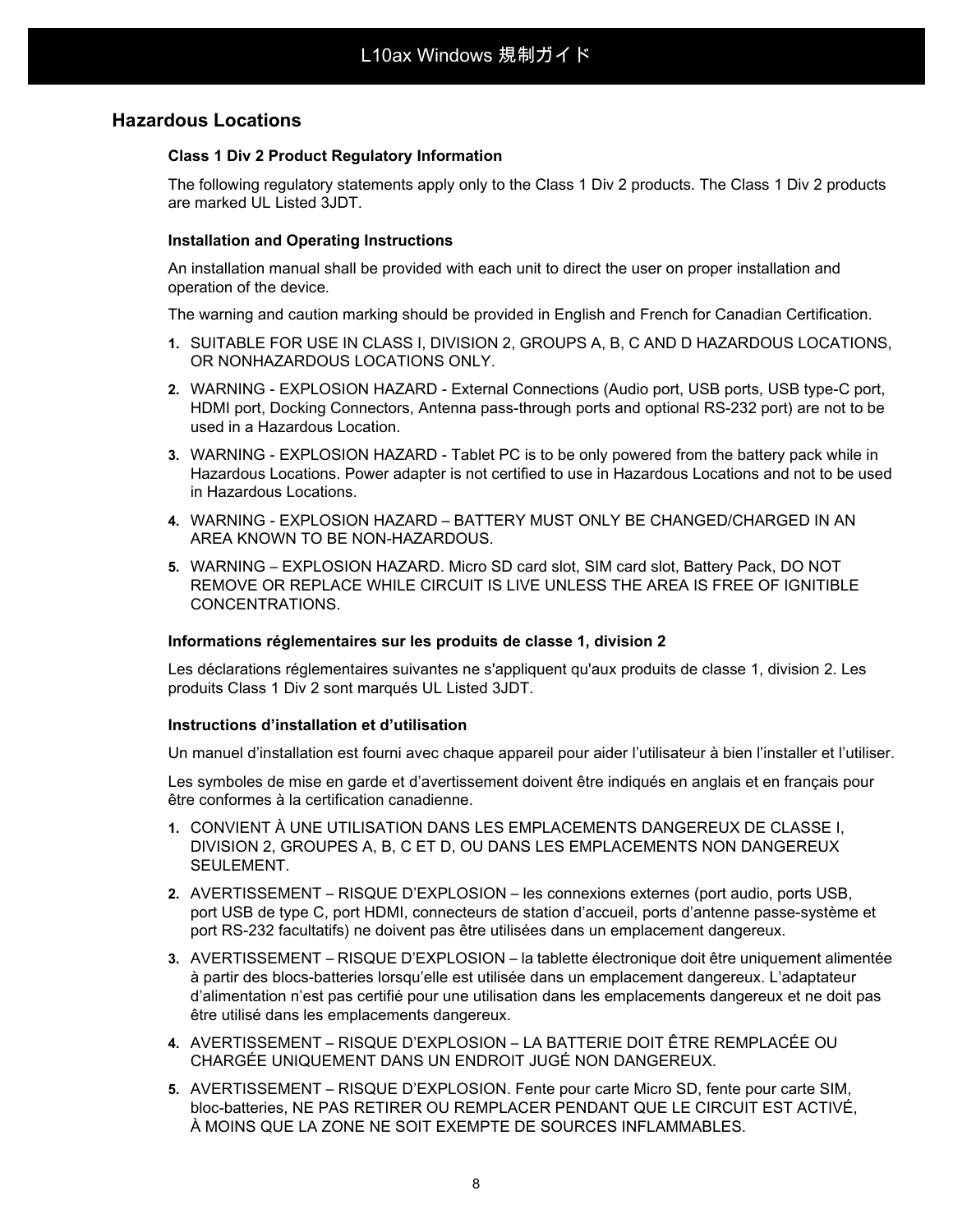### **Hazardous Locations**

#### **Class 1 Div 2 Product Regulatory Information**

The following regulatory statements apply only to the Class 1 Div 2 products. The Class 1 Div 2 products are marked UL Listed 3JDT.

#### **Installation and Operating Instructions**

An installation manual shall be provided with each unit to direct the user on proper installation and operation of the device.

The warning and caution marking should be provided in English and French for Canadian Certification.

- **1.** SUITABLE FOR USE IN CLASS I, DIVISION 2, GROUPS A, B, C AND D HAZARDOUS LOCATIONS, OR NONHAZARDOUS LOCATIONS ONLY.
- **2.** WARNING EXPLOSION HAZARD External Connections (Audio port, USB ports, USB type-C port, HDMI port, Docking Connectors, Antenna pass-through ports and optional RS-232 port) are not to be used in a Hazardous Location.
- **3.** WARNING EXPLOSION HAZARD Tablet PC is to be only powered from the battery pack while in Hazardous Locations. Power adapter is not certified to use in Hazardous Locations and not to be used in Hazardous Locations.
- **4.** WARNING EXPLOSION HAZARD BATTERY MUST ONLY BE CHANGED/CHARGED IN AN AREA KNOWN TO BE NON-HAZARDOUS.
- **5.** WARNING EXPLOSION HAZARD. Micro SD card slot, SIM card slot, Battery Pack, DO NOT REMOVE OR REPLACE WHILE CIRCUIT IS LIVE UNLESS THE AREA IS FREE OF IGNITIBLE CONCENTRATIONS.

#### **Informations réglementaires sur les produits de classe 1, division 2**

Les déclarations réglementaires suivantes ne s'appliquent qu'aux produits de classe 1, division 2. Les produits Class 1 Div 2 sont marqués UL Listed 3JDT.

#### **Instructions d'installation et d'utilisation**

Un manuel d'installation est fourni avec chaque appareil pour aider l'utilisateur à bien l'installer et l'utiliser.

Les symboles de mise en garde et d'avertissement doivent être indiqués en anglais et en français pour être conformes à la certification canadienne.

- **1.** CONVIENT À UNE UTILISATION DANS LES EMPLACEMENTS DANGEREUX DE CLASSE I, DIVISION 2, GROUPES A, B, C ET D, OU DANS LES EMPLACEMENTS NON DANGEREUX SEULEMENT.
- **2.** AVERTISSEMENT RISQUE D'EXPLOSION les connexions externes (port audio, ports USB, port USB de type C, port HDMI, connecteurs de station d'accueil, ports d'antenne passe-système et port RS-232 facultatifs) ne doivent pas être utilisées dans un emplacement dangereux.
- **3.** AVERTISSEMENT RISQUE D'EXPLOSION la tablette électronique doit être uniquement alimentée à partir des blocs-batteries lorsqu'elle est utilisée dans un emplacement dangereux. L'adaptateur d'alimentation n'est pas certifié pour une utilisation dans les emplacements dangereux et ne doit pas être utilisé dans les emplacements dangereux.
- **4.** AVERTISSEMENT RISQUE D'EXPLOSION LA BATTERIE DOIT ÊTRE REMPLACÉE OU CHARGÉE UNIQUEMENT DANS UN ENDROIT JUGÉ NON DANGEREUX.
- **5.** AVERTISSEMENT RISQUE D'EXPLOSION. Fente pour carte Micro SD, fente pour carte SIM, bloc-batteries, NE PAS RETIRER OU REMPLACER PENDANT QUE LE CIRCUIT EST ACTIVÉ, À MOINS QUE LA ZONE NE SOIT EXEMPTE DE SOURCES INFLAMMABLES.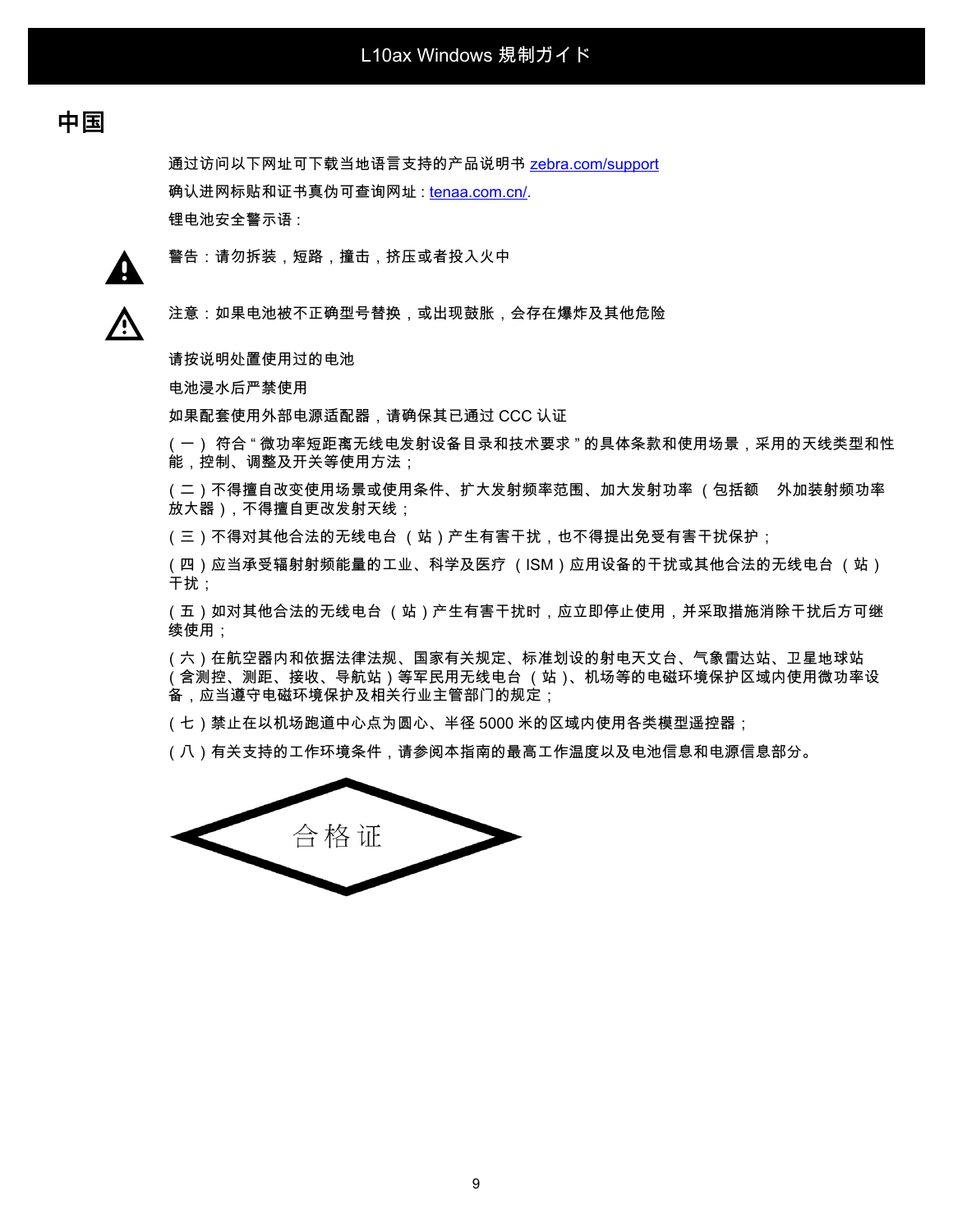# **中国**

通过访问以下网址可下载当地语言支持的产品说明书 [zebra.com/support](http://www.zebra.com/support) 确认进网标贴和证书真伪可查询网址 : [tenaa.com.cn/.](https://www.teena.com.cn/) 锂电池安全警示语 :



警告:请勿拆装,短路,撞击,挤压或者投入火中

⁄^

注意:如果电池被不正确型号替换,或出现鼓胀,会存在爆炸及其他危险

请按说明处置使用过的电池

电池浸水后严禁使用

如果配套使用外部电源适配器,请确保其已通过 CCC 认证

(一) 符合 " 微功率短距离无线电发射设备目录和技术要求 " 的具体条款和使用场景,采用的天线类型和性 能,控制、调整及开关等使用方法;

(二)不得擅自改变使用场景或使用条件、扩大发射频率范围、加大发射功率 (包括额 外加装射频功率 放大器),不得擅自更改发射天线;

(三)不得对其他合法的无线电台 (站)产生有害干扰,也不得提出免受有害干扰保护;

(四)应当承受辐射射频能量的工业、科学及医疗 (ISM)应用设备的干扰或其他合法的无线电台 (站) 干扰;

(五)如对其他合法的无线电台 (站)产生有害干扰时,应立即停止使用,并采取措施消除干扰后方可继 续使用;

(六)在航空器内和依据法律法规、国家有关规定、标准划设的射电天文台、气象雷达站、卫星地球站 (含测控、测距、接收、导航站)等军民用无线电台 (站)、机场等的电磁环境保护区域内使用微功率设 备,应当遵守电磁环境保护及相关行业主管部门的规定;

(七)禁止在以机场跑道中心点为圆心、半径 5000 米的区域内使用各类模型遥控器;

(八)有关支持的工作环境条件,请参阅本指南的最高工作温度以及电池信息和电源信息部分。

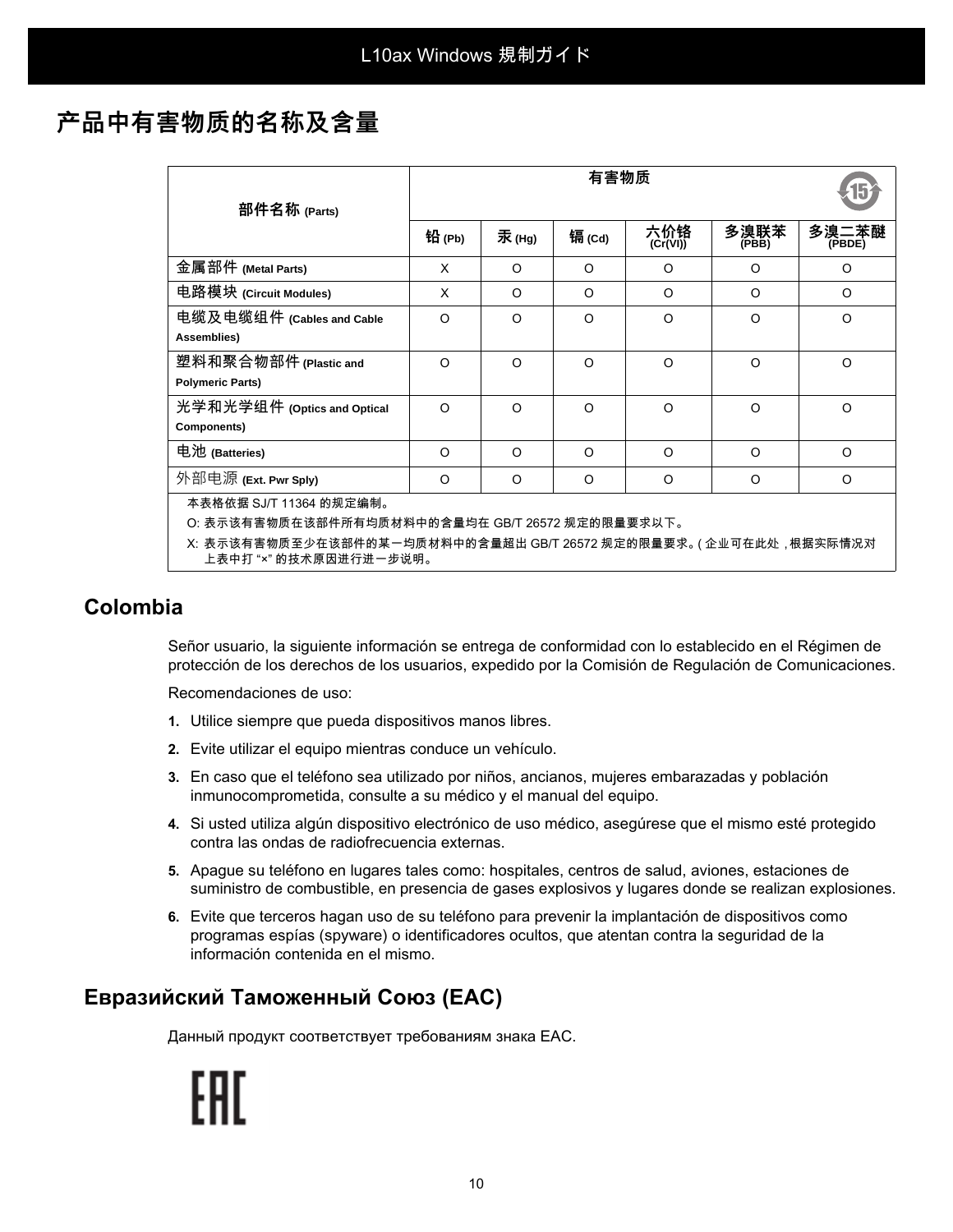# **产品中有害物质的名称及含量**

| 部件名称 (Parts)                                                                                  | 铅 (Pb)   | 汞(Hg)    | 镉(Cd)    | 六价铬<br>(Cr(VI)) | 多溴联苯<br>(PBB) | 多溴二苯醚<br>(PBDE) |  |  |
|-----------------------------------------------------------------------------------------------|----------|----------|----------|-----------------|---------------|-----------------|--|--|
| 金属部件 (Metal Parts)                                                                            | X        | O        | O        | O               | O             | $\circ$         |  |  |
| 电路模块 (Circuit Modules)                                                                        | X        | $\Omega$ | $\Omega$ | $\Omega$        | $\Omega$      | $\circ$         |  |  |
| 电缆及电缆组件 (Cables and Cable<br>Assemblies)                                                      | $\Omega$ | $\Omega$ | $\Omega$ | $\Omega$        | $\Omega$      | $\circ$         |  |  |
| 塑料和聚合物部件 (Plastic and<br><b>Polymeric Parts)</b>                                              | $\Omega$ | $\Omega$ | $\Omega$ | $\Omega$        | $\circ$       | $\circ$         |  |  |
| 光学和光学组件 (Optics and Optical<br>Components)                                                    | $\Omega$ | $\Omega$ | $\Omega$ | $\Omega$        | $\circ$       | $\Omega$        |  |  |
| 电池 (Batteries)                                                                                | O        | $\Omega$ | $\Omega$ | $\Omega$        | O             | $\circ$         |  |  |
| 外部电源 (Ext. Pwr Sply)                                                                          | O        | O        | O        | O               | O             | $\circ$         |  |  |
| 本表格依据 SJ/T 11364 的规定编制。                                                                       |          |          |          |                 |               |                 |  |  |
| O: 表示该有害物质在该部件所有均质材料中的含量均在 GB/T 26572 规定的限量要求以下。                                              |          |          |          |                 |               |                 |  |  |
| X: 表示该有害物质至少在该部件的某一均质材料中的含量超出 GB/T 26572 规定的限量要求。( 企业可在此处 , 根据实际情况对<br>上表中打 "×" 的技术原因进行进一步说明。 |          |          |          |                 |               |                 |  |  |

# **Colombia**

Señor usuario, la siguiente información se entrega de conformidad con lo establecido en el Régimen de protección de los derechos de los usuarios, expedido por la Comisión de Regulación de Comunicaciones.

Recomendaciones de uso:

- **1.** Utilice siempre que pueda dispositivos manos libres.
- **2.** Evite utilizar el equipo mientras conduce un vehículo.
- **3.** En caso que el teléfono sea utilizado por niños, ancianos, mujeres embarazadas y población inmunocomprometida, consulte a su médico y el manual del equipo.
- **4.** Si usted utiliza algún dispositivo electrónico de uso médico, asegúrese que el mismo esté protegido contra las ondas de radiofrecuencia externas.
- **5.** Apague su teléfono en lugares tales como: hospitales, centros de salud, aviones, estaciones de suministro de combustible, en presencia de gases explosivos y lugares donde se realizan explosiones.
- **6.** Evite que terceros hagan uso de su teléfono para prevenir la implantación de dispositivos como programas espías (spyware) o identificadores ocultos, que atentan contra la seguridad de la información contenida en el mismo.

# **Евразийский Таможенный Союз (EAC)**

Данный продукт соответствует требованиям знака EAC.

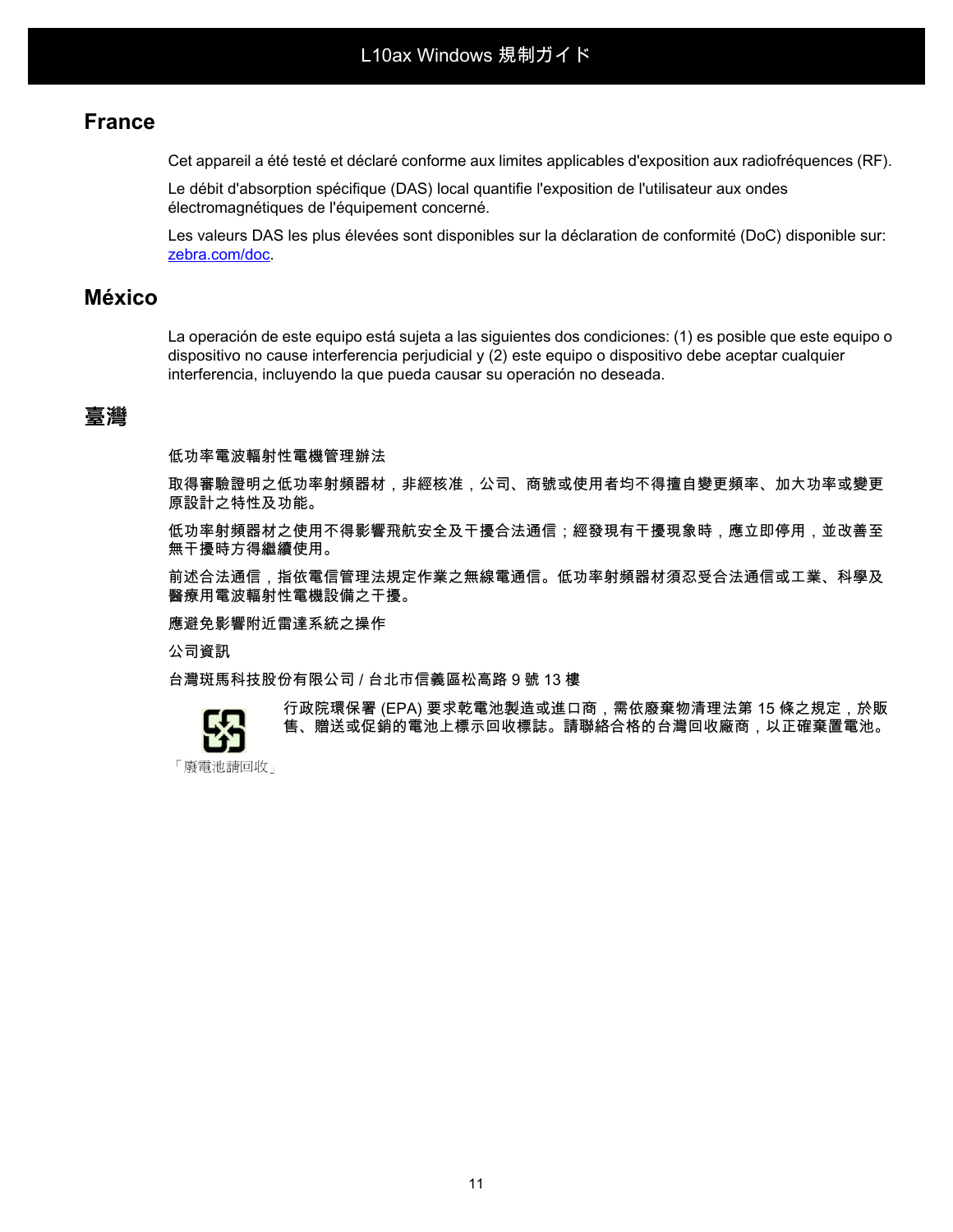## **France**

Cet appareil a été testé et déclaré conforme aux limites applicables d'exposition aux radiofréquences (RF).

Le débit d'absorption spécifique (DAS) local quantifie l'exposition de l'utilisateur aux ondes électromagnétiques de l'équipement concerné.

Les valeurs DAS les plus élevées sont disponibles sur la déclaration de conformité (DoC) disponible sur: [zebra.com/doc.](http://www.zebra.com/doc)

## **México**

La operación de este equipo está sujeta a las siguientes dos condiciones: (1) es posible que este equipo o dispositivo no cause interferencia perjudicial y (2) este equipo o dispositivo debe aceptar cualquier interferencia, incluyendo la que pueda causar su operación no deseada.

# **臺灣**

低功率電波輻射性電機管理辦法

取得審驗證明之低功率射頻器材,非經核准,公司、商號或使用者均不得擅自變更頻率、加大功率或變更 原設計之特性及功能。

低功率射頻器材之使用不得影響飛航安全及干擾合法通信;經發現有干擾現象時,應立即停用,並改善至 無干擾時方得繼續使用。

前述合法通信,指依電信管理法規定作業之無線電通信。低功率射頻器材須忍受合法通信或工業、科學及 醫療用電波輻射性電機設備之干擾。

應避免影響附近雷達系統之操作

公司資訊

台灣斑馬科技股份有限公司 / 台北市信義區松高路 9 號 13 樓



行政院環保署 (EPA) 要求乾電池製造或進口商,需依廢棄物清理法第 15 條之規定,於販 售、贈送或促銷的電池上標示回收標誌。請聯絡合格的台灣回收廠商,以正確棄置電池。

「廢電池請回收」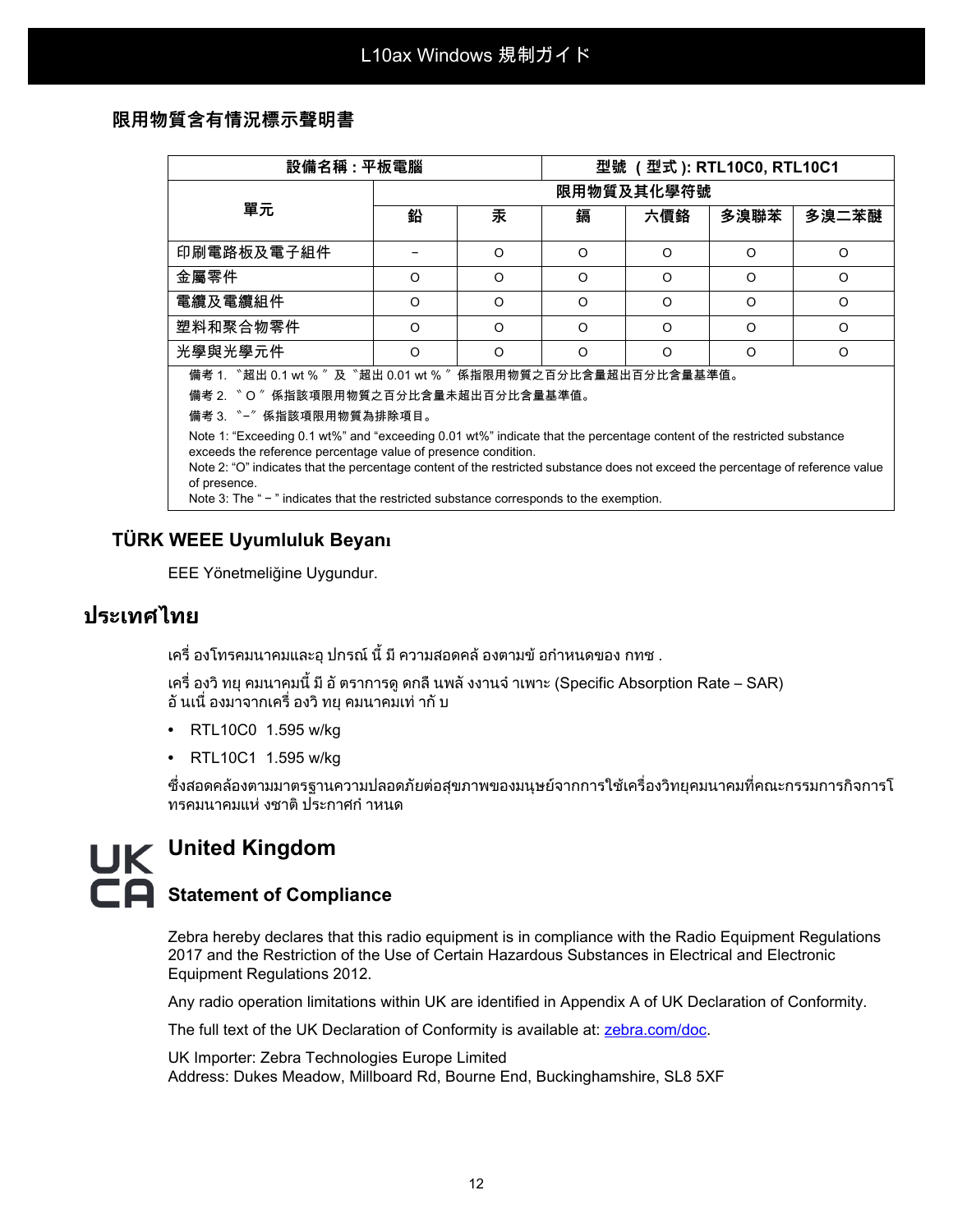### **限用物質含有情況標示聲明書**

| 設備名稱 : 平板電腦                                                                                                                                                                                                                                                                                                               |            |          | 型號 (型式): RTL10C0, RTL10C1 |          |          |          |  |  |  |
|---------------------------------------------------------------------------------------------------------------------------------------------------------------------------------------------------------------------------------------------------------------------------------------------------------------------------|------------|----------|---------------------------|----------|----------|----------|--|--|--|
| 單元                                                                                                                                                                                                                                                                                                                        | 限用物質及其化學符號 |          |                           |          |          |          |  |  |  |
|                                                                                                                                                                                                                                                                                                                           | 鉛          | 汞        | 鎘                         | 六價鉻      | 多溴聯苯     | 多溴二苯醚    |  |  |  |
| 印刷電路板及電子組件                                                                                                                                                                                                                                                                                                                |            | $\Omega$ | $\Omega$                  | $\Omega$ | $\Omega$ | $\circ$  |  |  |  |
| 金屬零件                                                                                                                                                                                                                                                                                                                      | O          | $\Omega$ | O                         | $\Omega$ | $\Omega$ | $\Omega$ |  |  |  |
| 電纜及電纜組件                                                                                                                                                                                                                                                                                                                   | O          | $\Omega$ | O                         | $\Omega$ | $\Omega$ | $\Omega$ |  |  |  |
| 塑料和聚合物零件                                                                                                                                                                                                                                                                                                                  | O          | $\Omega$ | O                         | $\Omega$ | $\Omega$ | $\Omega$ |  |  |  |
| 光學與光學元件                                                                                                                                                                                                                                                                                                                   | $\Omega$   | $\Omega$ | $\Omega$                  | $\Omega$ | $\Omega$ | O        |  |  |  |
| 備考 1. "超出 0.1 wt % "及 "超出 0.01 wt % " 係指限用物質之百分比含量超出百分比含量基準值。<br>備考 2. 〝 O 〞係指該項限用物質之百分比含量未超出百分比含量基準值。<br>備考 3. "-"係指該項限用物質為排除項目。                                                                                                                                                                                         |            |          |                           |          |          |          |  |  |  |
| Note 1: "Exceeding 0.1 wt%" and "exceeding 0.01 wt%" indicate that the percentage content of the restricted substance<br>exceeds the reference percentage value of presence condition.<br>Note 2: "O" indicates that the percentage content of the restricted substance does not exceed the percentage of reference value |            |          |                           |          |          |          |  |  |  |

of presence. Note 3: The " - " indicates that the restricted substance corresponds to the exemption.

### **TÜRK WEEE Uyumluluk Beyanı**

EEE Yönetmeliğine Uygundur.

# **ประเทศไทย**

ี เครื่ องโทรคมนาคมและอุ ปกรณ์ นี้ มี ความสอดคล้ องตามข้ อกำหนดของ กทช .

เครื่ องวิทยุคมนาคมนี้มีอัตราการดูดกลืนพลังงานจําเพาะ (Specific Absorption Rate – SAR) ้อั นเนื่ องมาจากเครื่ องวิ ทย คมนาคมเท่ ากั บ

- **•** RTL10C0 1.595 w/kg
- **•** RTL10C1 1.595 w/kg

ซึ่งสอดคลองตามมาตรฐานความปลอดภัยตอสุขภาพของมนุษยจากการใชเครื่องวิทยุคมนาคมที่คณะกรรมการกิจการโ ทรคมนาคมแห งชาติประกาศกําหนด

# **United Kingdom E** Statement of Compliance

Zebra hereby declares that this radio equipment is in compliance with the Radio Equipment Regulations 2017 and the Restriction of the Use of Certain Hazardous Substances in Electrical and Electronic Equipment Regulations 2012.

Any radio operation limitations within UK are identified in Appendix A of UK Declaration of Conformity.

[The full text of the UK Declaration of Conformity is available at:](http://www.zebra.com/doc) zebra.com/doc.

UK Importer: Zebra Technologies Europe Limited Address: Dukes Meadow, Millboard Rd, Bourne End, Buckinghamshire, SL8 5XF